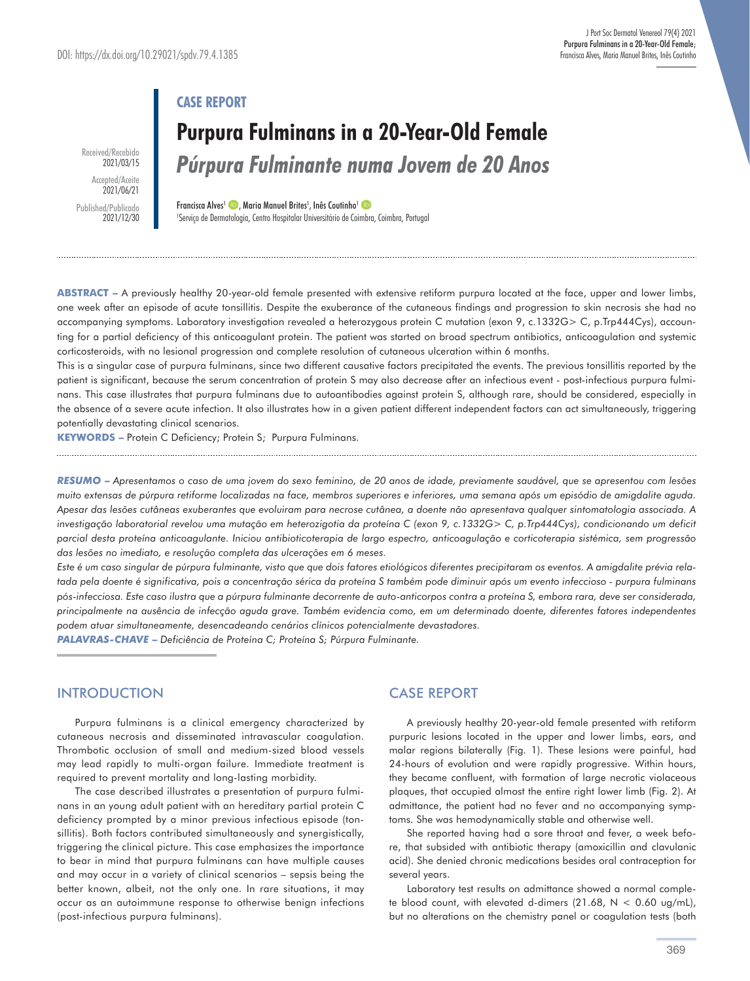## **CASE REPORT**

Received/Recebido 2021/03/15 Accepted/Aceite 2021/06/21 Published/Publicado 2021/12/30

# **Purpura Fulminans in a 20-Year-Old Female**

*Púrpura Fulminante numa Jovem de 20 Anos* 

Francisca Alves<sup>1</sup> (D), Maria Manuel Brites<sup>1</sup>, Inês Coutinho<sup>1</sup> 1 Serviço de Dermatologia, Centro Hospitalar Universitário de Coimbra, Coimbra, Portugal

**ABSTRACT –** A previously healthy 20-year-old female presented with extensive retiform purpura located at the face, upper and lower limbs, one week after an episode of acute tonsillitis. Despite the exuberance of the cutaneous findings and progression to skin necrosis she had no accompanying symptoms. Laboratory investigation revealed a heterozygous protein C mutation (exon 9, c.1332G> C, p.Trp444Cys), accounting for a partial deficiency of this anticoagulant protein. The patient was started on broad spectrum antibiotics, anticoagulation and systemic corticosteroids, with no lesional progression and complete resolution of cutaneous ulceration within 6 months.

This is a singular case of purpura fulminans, since two different causative factors precipitated the events. The previous tonsillitis reported by the patient is significant, because the serum concentration of protein S may also decrease after an infectious event - post-infectious purpura fulminans. This case illustrates that purpura fulminans due to autoantibodies against protein S, although rare, should be considered, especially in the absence of a severe acute infection. It also illustrates how in a given patient different independent factors can act simultaneously, triggering potentially devastating clinical scenarios.

**KEYWORDS –** Protein C Deficiency; Protein S; Purpura Fulminans.

*RESUMO* **–** *Apresentamos o caso de uma jovem do sexo feminino, de 20 anos de idade, previamente saudável, que se apresentou com lesões muito extensas de púrpura retiforme localizadas na face, membros superiores e inferiores, uma semana após um episódio de amigdalite aguda. Apesar das lesões cutâneas exuberantes que evoluiram para necrose cutânea, a doente não apresentava qualquer sintomatologia associada. A investigação laboratorial revelou uma mutação em heterozigotia da proteína C (exon 9, c.1332G> C, p.Trp444Cys), condicionando um deficit parcial desta proteína anticoagulante. Iniciou antibioticoterapia de largo espectro, anticoagulação e corticoterapia sistémica, sem progressão das lesões no imediato, e resolução completa das ulcerações em 6 meses.*

*Este é um caso singular de púrpura fulminante, visto que que dois fatores etiológicos diferentes precipitaram os eventos. A amigdalite prévia relatada pela doente é significativa, pois a concentração sérica da proteína S também pode diminuir após um evento infeccioso - purpura fulminans pós-infecciosa. Este caso ilustra que a púrpura fulminante decorrente de auto-anticorpos contra a proteína S, embora rara, deve ser considerada, principalmente na ausência de infecção aguda grave. Também evidencia como, em um determinado doente, diferentes fatores independentes podem atuar simultaneamente, desencadeando cenários clínicos potencialmente devastadores.* 

*PALAVRAS-CHAVE* **–** *Deficiência de Proteína C; Proteína S; Púrpura Fulminante.*

## **INTRODUCTION**

Purpura fulminans is a clinical emergency characterized by cutaneous necrosis and disseminated intravascular coagulation. Thrombotic occlusion of small and medium-sized blood vessels may lead rapidly to multi-organ failure. Immediate treatment is required to prevent mortality and long-lasting morbidity.

The case described illustrates a presentation of purpura fulminans in an young adult patient with an hereditary partial protein C deficiency prompted by a minor previous infectious episode (tonsillitis). Both factors contributed simultaneously and synergistically, triggering the clinical picture. This case emphasizes the importance to bear in mind that purpura fulminans can have multiple causes and may occur in a variety of clinical scenarios – sepsis being the better known, albeit, not the only one. In rare situations, it may occur as an autoimmune response to otherwise benign infections (post-infectious purpura fulminans).

## CASE REPORT

A previously healthy 20-year-old female presented with retiform purpuric lesions located in the upper and lower limbs, ears, and malar regions bilaterally (Fig. 1). These lesions were painful, had 24-hours of evolution and were rapidly progressive. Within hours, they became confluent, with formation of large necrotic violaceous plaques, that occupied almost the entire right lower limb (Fig. 2). At admittance, the patient had no fever and no accompanying symptoms. She was hemodynamically stable and otherwise well.

She reported having had a sore throat and fever, a week before, that subsided with antibiotic therapy (amoxicillin and clavulanic acid). She denied chronic medications besides oral contraception for several years.

Laboratory test results on admittance showed a normal complete blood count, with elevated d-dimers (21.68,  $N < 0.60$  ug/mL), but no alterations on the chemistry panel or coagulation tests (both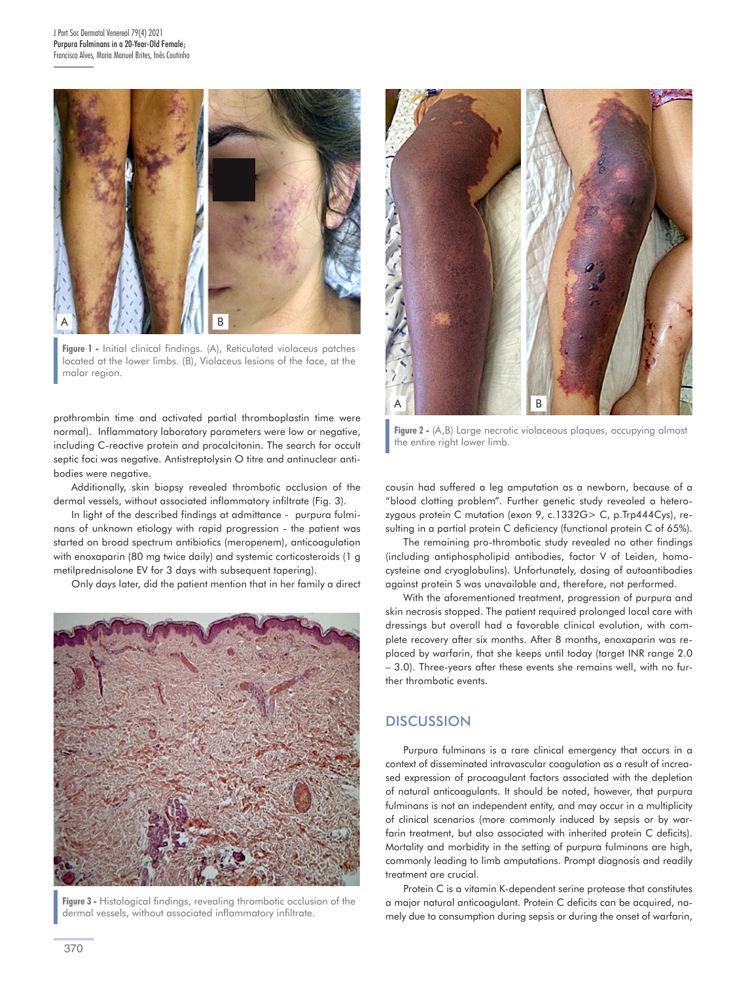

**Figure 1 -** Initial clinical findings. (A), Reticulated violaceus patches located at the lower limbs. (B), Violaceus lesions of the face, at the malar region.

prothrombin time and activated partial thromboplastin time were normal). Inflammatory laboratory parameters were low or negative, including C-reactive protein and procalcitonin. The search for occult septic foci was negative. Antistreptolysin O titre and antinuclear antibodies were negative.

Additionally, skin biopsy revealed thrombotic occlusion of the dermal vessels, without associated inflammatory infiltrate (Fig. 3).

In light of the described findings at admittance - purpura fulminans of unknown etiology with rapid progression - the patient was started on broad spectrum antibiotics (meropenem), anticoagulation with enoxaparin (80 mg twice daily) and systemic corticosteroids (1 g metilprednisolone EV for 3 days with subsequent tapering).

Only days later, did the patient mention that in her family a direct



**Figure 3 -** Histological findings, revealing thrombotic occlusion of the dermal vessels, without associated inflammatory infiltrate.



**Figure 2 -** (A,B) Large necrotic violaceous plaques, occupying almost the entire right lower limb.

cousin had suffered a leg amputation as a newborn, because of a "blood clotting problem". Further genetic study revealed a heterozygous protein C mutation (exon 9, c.1332G> C, p.Trp444Cys), resulting in a partial protein C deficiency (functional protein C of 65%).

The remaining pro-thrombotic study revealed no other findings (including antiphospholipid antibodies, factor V of Leiden, homocysteine and cryoglobulins). Unfortunately, dosing of autoantibodies against protein S was unavailable and, therefore, not performed.

With the aforementioned treatment, progression of purpura and skin necrosis stopped. The patient required prolonged local care with dressings but overall had a favorable clinical evolution, with complete recovery after six months. After 8 months, enoxaparin was replaced by warfarin, that she keeps until today (target INR range 2.0 – 3.0). Three-years after these events she remains well, with no further thrombotic events.

### **DISCUSSION**

Purpura fulminans is a rare clinical emergency that occurs in a context of disseminated intravascular coagulation as a result of increased expression of procoagulant factors associated with the depletion of natural anticoagulants. It should be noted, however, that purpura fulminans is not an independent entity, and may occur in a multiplicity of clinical scenarios (more commonly induced by sepsis or by warfarin treatment, but also associated with inherited protein C deficits). Mortality and morbidity in the setting of purpura fulminans are high, commonly leading to limb amputations. Prompt diagnosis and readily treatment are crucial.

Protein C is a vitamin K-dependent serine protease that constitutes a major natural anticoagulant. Protein C deficits can be acquired, namely due to consumption during sepsis or during the onset of warfarin,